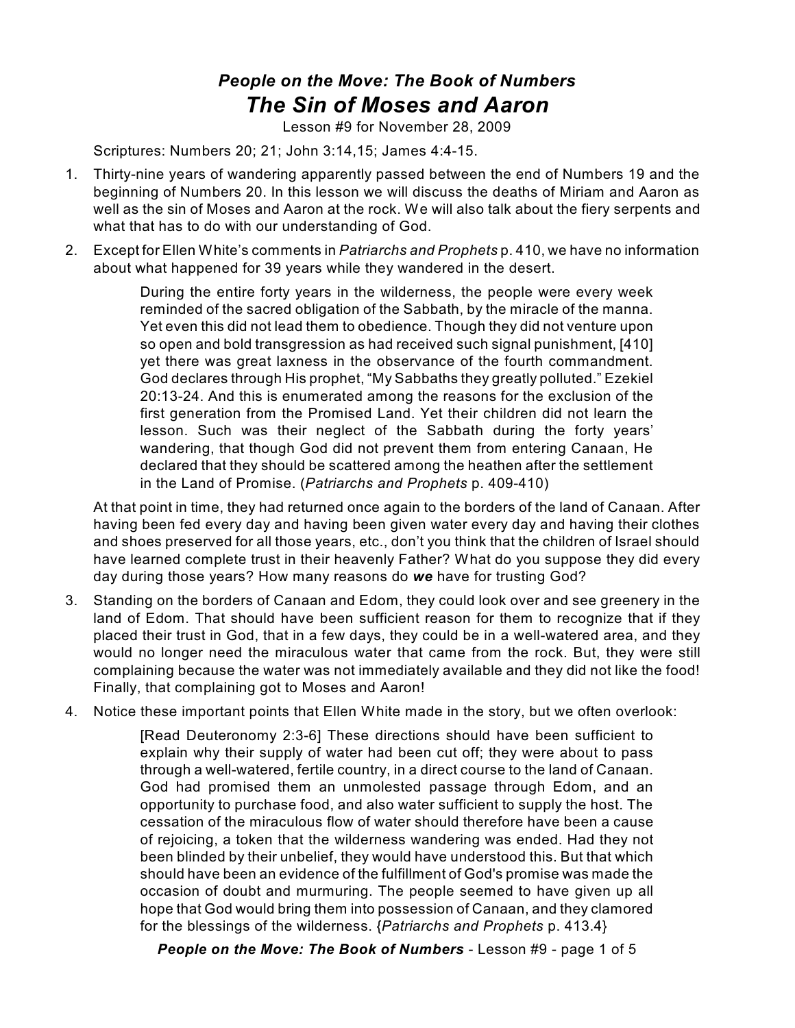## *People on the Move: The Book of Numbers The Sin of Moses and Aaron*

Lesson #9 for November 28, 2009

Scriptures: Numbers 20; 21; John 3:14,15; James 4:4-15.

- 1. Thirty-nine years of wandering apparently passed between the end of Numbers 19 and the beginning of Numbers 20. In this lesson we will discuss the deaths of Miriam and Aaron as well as the sin of Moses and Aaron at the rock. We will also talk about the fiery serpents and what that has to do with our understanding of God.
- 2. Except for Ellen White's comments in *Patriarchs and Prophets* p. 410, we have no information about what happened for 39 years while they wandered in the desert.

During the entire forty years in the wilderness, the people were every week reminded of the sacred obligation of the Sabbath, by the miracle of the manna. Yet even this did not lead them to obedience. Though they did not venture upon so open and bold transgression as had received such signal punishment, [410] yet there was great laxness in the observance of the fourth commandment. God declares through His prophet, "My Sabbaths they greatly polluted." Ezekiel 20:13-24. And this is enumerated among the reasons for the exclusion of the first generation from the Promised Land. Yet their children did not learn the lesson. Such was their neglect of the Sabbath during the forty years' wandering, that though God did not prevent them from entering Canaan, He declared that they should be scattered among the heathen after the settlement in the Land of Promise. (*Patriarchs and Prophets* p. 409-410)

At that point in time, they had returned once again to the borders of the land of Canaan. After having been fed every day and having been given water every day and having their clothes and shoes preserved for all those years, etc., don't you think that the children of Israel should have learned complete trust in their heavenly Father? What do you suppose they did every day during those years? How many reasons do *we* have for trusting God?

- 3. Standing on the borders of Canaan and Edom, they could look over and see greenery in the land of Edom. That should have been sufficient reason for them to recognize that if they placed their trust in God, that in a few days, they could be in a well-watered area, and they would no longer need the miraculous water that came from the rock. But, they were still complaining because the water was not immediately available and they did not like the food! Finally, that complaining got to Moses and Aaron!
- 4. Notice these important points that Ellen White made in the story, but we often overlook:

[Read Deuteronomy 2:3-6] These directions should have been sufficient to explain why their supply of water had been cut off; they were about to pass through a well-watered, fertile country, in a direct course to the land of Canaan. God had promised them an unmolested passage through Edom, and an opportunity to purchase food, and also water sufficient to supply the host. The cessation of the miraculous flow of water should therefore have been a cause of rejoicing, a token that the wilderness wandering was ended. Had they not been blinded by their unbelief, they would have understood this. But that which should have been an evidence of the fulfillment of God's promise was made the occasion of doubt and murmuring. The people seemed to have given up all hope that God would bring them into possession of Canaan, and they clamored for the blessings of the wilderness. {*Patriarchs and Prophets* p. 413.4}

*People on the Move: The Book of Numbers* - Lesson #9 - page 1 of 5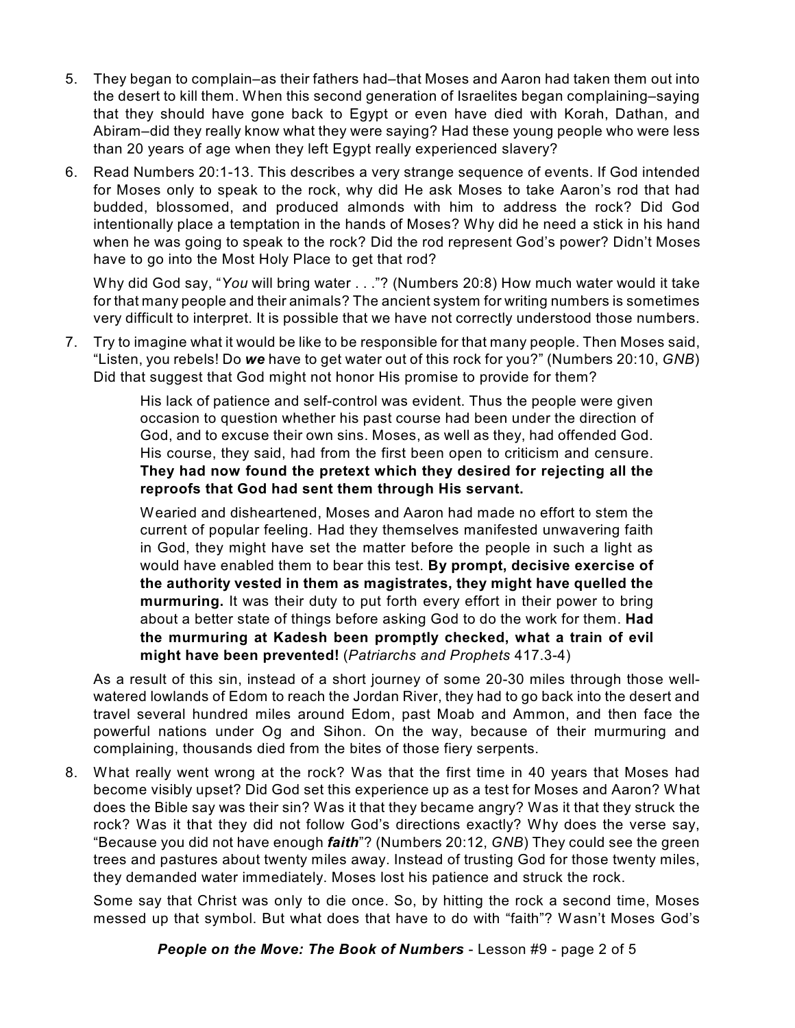- 5. They began to complain–as their fathers had–that Moses and Aaron had taken them out into the desert to kill them. When this second generation of Israelites began complaining–saying that they should have gone back to Egypt or even have died with Korah, Dathan, and Abiram–did they really know what they were saying? Had these young people who were less than 20 years of age when they left Egypt really experienced slavery?
- 6. Read Numbers 20:1-13. This describes a very strange sequence of events. If God intended for Moses only to speak to the rock, why did He ask Moses to take Aaron's rod that had budded, blossomed, and produced almonds with him to address the rock? Did God intentionally place a temptation in the hands of Moses? Why did he need a stick in his hand when he was going to speak to the rock? Did the rod represent God's power? Didn't Moses have to go into the Most Holy Place to get that rod?

Why did God say, "*You* will bring water . . ."? (Numbers 20:8) How much water would it take for that many people and their animals? The ancient system for writing numbers is sometimes very difficult to interpret. It is possible that we have not correctly understood those numbers.

7. Try to imagine what it would be like to be responsible for that many people. Then Moses said, "Listen, you rebels! Do *we* have to get water out of this rock for you?" (Numbers 20:10, *GNB*) Did that suggest that God might not honor His promise to provide for them?

> His lack of patience and self-control was evident. Thus the people were given occasion to question whether his past course had been under the direction of God, and to excuse their own sins. Moses, as well as they, had offended God. His course, they said, had from the first been open to criticism and censure. **They had now found the pretext which they desired for rejecting all the reproofs that God had sent them through His servant.**

> Wearied and disheartened, Moses and Aaron had made no effort to stem the current of popular feeling. Had they themselves manifested unwavering faith in God, they might have set the matter before the people in such a light as would have enabled them to bear this test. **By prompt, decisive exercise of the authority vested in them as magistrates, they might have quelled the murmuring.** It was their duty to put forth every effort in their power to bring about a better state of things before asking God to do the work for them. **Had the murmuring at Kadesh been promptly checked, what a train of evil might have been prevented!** (*Patriarchs and Prophets* 417.3-4)

As a result of this sin, instead of a short journey of some 20-30 miles through those wellwatered lowlands of Edom to reach the Jordan River, they had to go back into the desert and travel several hundred miles around Edom, past Moab and Ammon, and then face the powerful nations under Og and Sihon. On the way, because of their murmuring and complaining, thousands died from the bites of those fiery serpents.

8. What really went wrong at the rock? Was that the first time in 40 years that Moses had become visibly upset? Did God set this experience up as a test for Moses and Aaron? What does the Bible say was their sin? Was it that they became angry? Was it that they struck the rock? Was it that they did not follow God's directions exactly? Why does the verse say, "Because you did not have enough *faith*"? (Numbers 20:12, *GNB*) They could see the green trees and pastures about twenty miles away. Instead of trusting God for those twenty miles, they demanded water immediately. Moses lost his patience and struck the rock.

Some say that Christ was only to die once. So, by hitting the rock a second time, Moses messed up that symbol. But what does that have to do with "faith"? Wasn't Moses God's

*People on the Move: The Book of Numbers* - Lesson #9 - page 2 of 5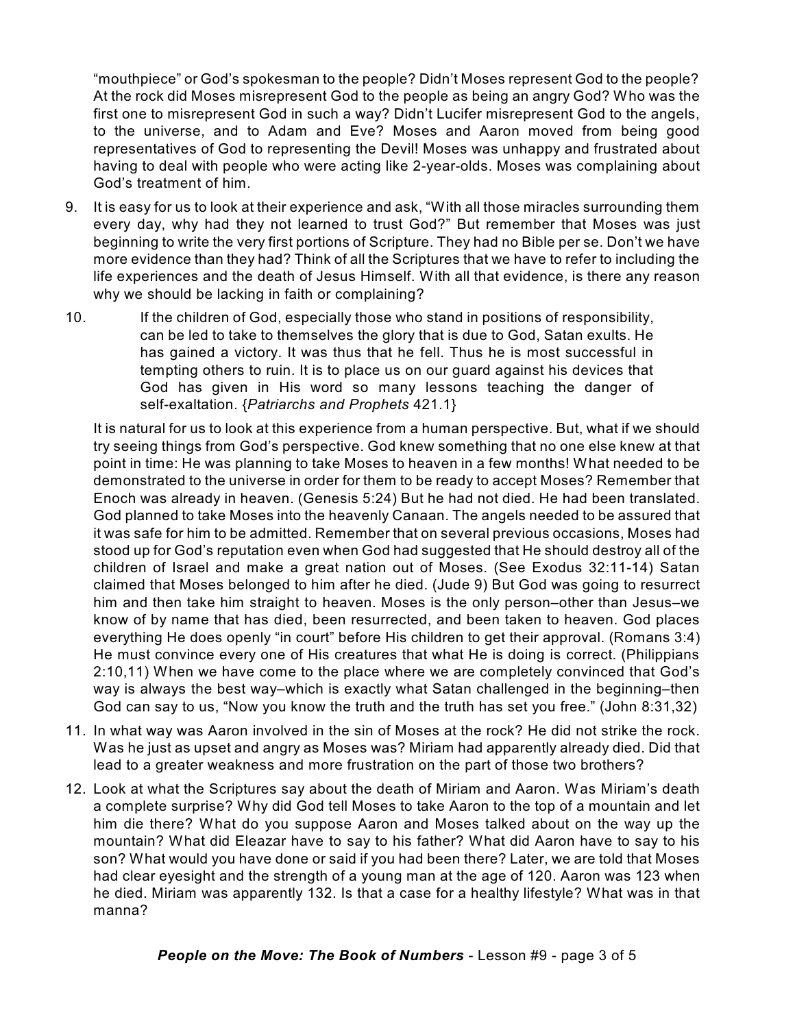"mouthpiece" or God's spokesman to the people? Didn't Moses represent God to the people? At the rock did Moses misrepresent God to the people as being an angry God? Who was the first one to misrepresent God in such a way? Didn't Lucifer misrepresent God to the angels, to the universe, and to Adam and Eve? Moses and Aaron moved from being good representatives of God to representing the Devil! Moses was unhappy and frustrated about having to deal with people who were acting like 2-year-olds. Moses was complaining about God's treatment of him.

- 9. It is easy for us to look at their experience and ask, "With all those miracles surrounding them every day, why had they not learned to trust God?" But remember that Moses was just beginning to write the very first portions of Scripture. They had no Bible per se. Don't we have more evidence than they had? Think of all the Scriptures that we have to refer to including the life experiences and the death of Jesus Himself. With all that evidence, is there any reason why we should be lacking in faith or complaining?
- 10. If the children of God, especially those who stand in positions of responsibility, can be led to take to themselves the glory that is due to God, Satan exults. He has gained a victory. It was thus that he fell. Thus he is most successful in tempting others to ruin. It is to place us on our guard against his devices that God has given in His word so many lessons teaching the danger of self-exaltation. {*Patriarchs and Prophets* 421.1}

It is natural for us to look at this experience from a human perspective. But, what if we should try seeing things from God's perspective. God knew something that no one else knew at that point in time: He was planning to take Moses to heaven in a few months! What needed to be demonstrated to the universe in order for them to be ready to accept Moses? Remember that Enoch was already in heaven. (Genesis 5:24) But he had not died. He had been translated. God planned to take Moses into the heavenly Canaan. The angels needed to be assured that it was safe for him to be admitted. Remember that on several previous occasions, Moses had stood up for God's reputation even when God had suggested that He should destroy all of the children of Israel and make a great nation out of Moses. (See Exodus 32:11-14) Satan claimed that Moses belonged to him after he died. (Jude 9) But God was going to resurrect him and then take him straight to heaven. Moses is the only person–other than Jesus–we know of by name that has died, been resurrected, and been taken to heaven. God places everything He does openly "in court" before His children to get their approval. (Romans 3:4) He must convince every one of His creatures that what He is doing is correct. (Philippians 2:10,11) When we have come to the place where we are completely convinced that God's way is always the best way–which is exactly what Satan challenged in the beginning–then God can say to us, "Now you know the truth and the truth has set you free." (John 8:31,32)

- 11. In what way was Aaron involved in the sin of Moses at the rock? He did not strike the rock. Was he just as upset and angry as Moses was? Miriam had apparently already died. Did that lead to a greater weakness and more frustration on the part of those two brothers?
- 12. Look at what the Scriptures say about the death of Miriam and Aaron. Was Miriam's death a complete surprise? Why did God tell Moses to take Aaron to the top of a mountain and let him die there? What do you suppose Aaron and Moses talked about on the way up the mountain? What did Eleazar have to say to his father? What did Aaron have to say to his son? What would you have done or said if you had been there? Later, we are told that Moses had clear eyesight and the strength of a young man at the age of 120. Aaron was 123 when he died. Miriam was apparently 132. Is that a case for a healthy lifestyle? What was in that manna?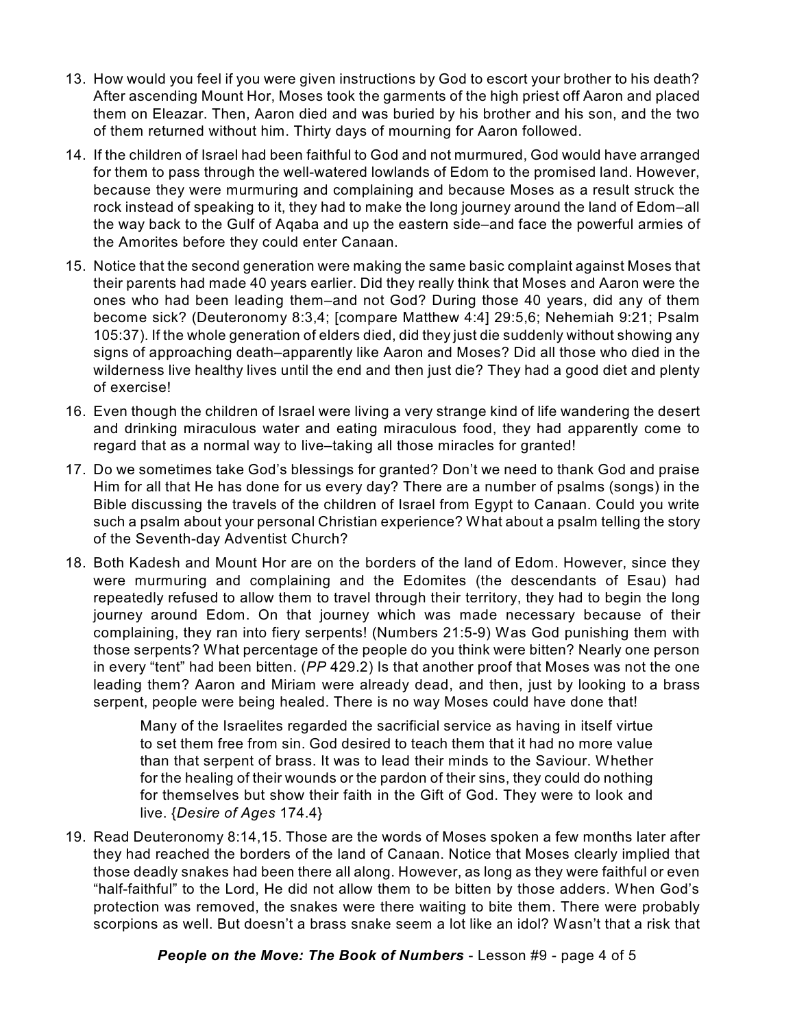- 13. How would you feel if you were given instructions by God to escort your brother to his death? After ascending Mount Hor, Moses took the garments of the high priest off Aaron and placed them on Eleazar. Then, Aaron died and was buried by his brother and his son, and the two of them returned without him. Thirty days of mourning for Aaron followed.
- 14. If the children of Israel had been faithful to God and not murmured, God would have arranged for them to pass through the well-watered lowlands of Edom to the promised land. However, because they were murmuring and complaining and because Moses as a result struck the rock instead of speaking to it, they had to make the long journey around the land of Edom–all the way back to the Gulf of Aqaba and up the eastern side–and face the powerful armies of the Amorites before they could enter Canaan.
- 15. Notice that the second generation were making the same basic complaint against Moses that their parents had made 40 years earlier. Did they really think that Moses and Aaron were the ones who had been leading them–and not God? During those 40 years, did any of them become sick? (Deuteronomy 8:3,4; [compare Matthew 4:4] 29:5,6; Nehemiah 9:21; Psalm 105:37). If the whole generation of elders died, did they just die suddenly without showing any signs of approaching death–apparently like Aaron and Moses? Did all those who died in the wilderness live healthy lives until the end and then just die? They had a good diet and plenty of exercise!
- 16. Even though the children of Israel were living a very strange kind of life wandering the desert and drinking miraculous water and eating miraculous food, they had apparently come to regard that as a normal way to live–taking all those miracles for granted!
- 17. Do we sometimes take God's blessings for granted? Don't we need to thank God and praise Him for all that He has done for us every day? There are a number of psalms (songs) in the Bible discussing the travels of the children of Israel from Egypt to Canaan. Could you write such a psalm about your personal Christian experience? What about a psalm telling the story of the Seventh-day Adventist Church?
- 18. Both Kadesh and Mount Hor are on the borders of the land of Edom. However, since they were murmuring and complaining and the Edomites (the descendants of Esau) had repeatedly refused to allow them to travel through their territory, they had to begin the long journey around Edom. On that journey which was made necessary because of their complaining, they ran into fiery serpents! (Numbers 21:5-9) Was God punishing them with those serpents? What percentage of the people do you think were bitten? Nearly one person in every "tent" had been bitten. (*PP* 429.2) Is that another proof that Moses was not the one leading them? Aaron and Miriam were already dead, and then, just by looking to a brass serpent, people were being healed. There is no way Moses could have done that!

Many of the Israelites regarded the sacrificial service as having in itself virtue to set them free from sin. God desired to teach them that it had no more value than that serpent of brass. It was to lead their minds to the Saviour. Whether for the healing of their wounds or the pardon of their sins, they could do nothing for themselves but show their faith in the Gift of God. They were to look and live. {*Desire of Ages* 174.4}

19. Read Deuteronomy 8:14,15. Those are the words of Moses spoken a few months later after they had reached the borders of the land of Canaan. Notice that Moses clearly implied that those deadly snakes had been there all along. However, as long as they were faithful or even "half-faithful" to the Lord, He did not allow them to be bitten by those adders. When God's protection was removed, the snakes were there waiting to bite them. There were probably scorpions as well. But doesn't a brass snake seem a lot like an idol? Wasn't that a risk that